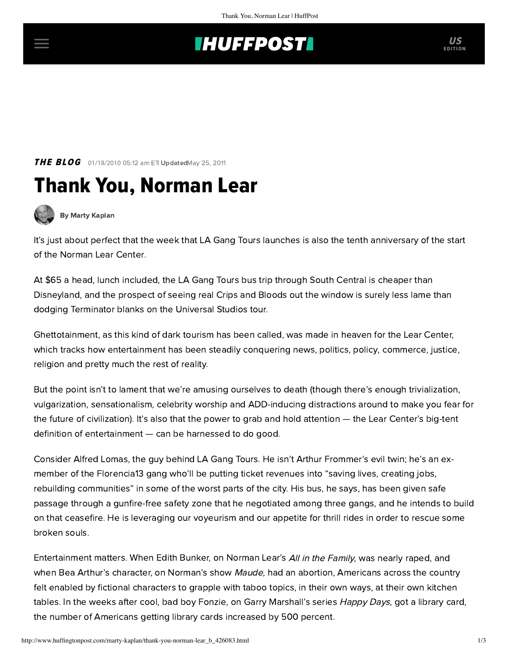## **INUFFPOST**

**THE BLOG** 01/18/2010 05:12 am ETI UpdatedMay 25, 2011

# Thank You, Norman Lear



[By Marty Kaplan](http://www.huffingtonpost.com/author/marty-kaplan)

It's just about perfect that the week that [LA Gang Tours](http://www.lagangtours.com/) launches is also the tenth anniversary of the start of the [Norman Lear Center.](http://www.learcenter.org/)

At \$65 a head, [lunch included](http://www.nytimes.com/2010/01/16/us/16tour.html?scp=1&sq=la%20gang%20tours&st=cse), the LA Gang Tours bus trip through South Central is cheaper than Disneyland, and the prospect of seeing real Crips and Bloods out the window is surely less lame than dodging Terminator blanks on the Universal Studios tour.

[Ghettotainment](http://articles.latimes.com/2010/jan/07/opinion/la-oe-aubry7-2010jan07), as this kind of [dark tourism](http://www.vagabondish.com/dark-tourism-travel-tours/) has been called, was made in heaven for the Lear Center, which tracks how entertainment has been steadily [conquering](http://www.amazon.com/Life-Movie-Entertainment-Conquered-Reality/dp/0375706534) [news,](http://www.learcenter.org/pdf/Orwell_excerpt.pdf) [politics,](http://www.learcenter.org/pdf/mp080703.pdf) [policy,](http://www.brookings.edu/~/media/Files/events/2008/0925_media_immigration/0925_media_immigration.pdf) [commerce](http://www.learcenter.org/pdf/EconofAttention.pdf), [justice,](http://www.learcenter.org/pdf/mp082301.pdf) [religion](http://www.learcenter.org/pdf/FoxNotes.pdf) and pretty much the rest of reality.

But the point isn't to lament that we're [amusing ourselves to death](http://en.wikipedia.org/wiki/Amusing_Ourselves_to_Death) (though there's enough trivialization, vulgarization, sensationalism, celebrity worship and ADD-inducing distractions around to make you fear for the future of civilization). It's also that the power to grab and hold attention — the Lear Center's big-tent [definition of entertainment](http://www.learcenter.org/html/about/?cm=about) — can be harnessed to do good.

Consider Alfred Lomas, the guy behind LA Gang Tours. He isn't Arthur Frommer's evil twin; he's an exmember of the Florencia13 gang who'll be putting ticket revenues into "saving lives, creating jobs, rebuilding communities" in some of the worst parts of the city. His bus, he says, has been given safe passage through a gunfire-free safety zone that he negotiated among three gangs, and he intends to build on that ceasefire. He is leveraging our voyeurism and our appetite for thrill rides in order to rescue some broken souls.

Entertainment matters. When Edith Bunker, on Norman Lear's All in the Family, was nearly raped, and when Bea Arthur's character, on Norman's show *Maude*, had an abortion, Americans across the country felt enabled by fictional characters to grapple with taboo topics, in their own ways, at their own kitchen tables. In the weeks after cool, bad boy Fonzie, on Garry Marshall's series Happy Days, got a library card, the number of Americans getting library cards [increased by 500 percent](http://www.ema-online.org/norman_lear_letter.php).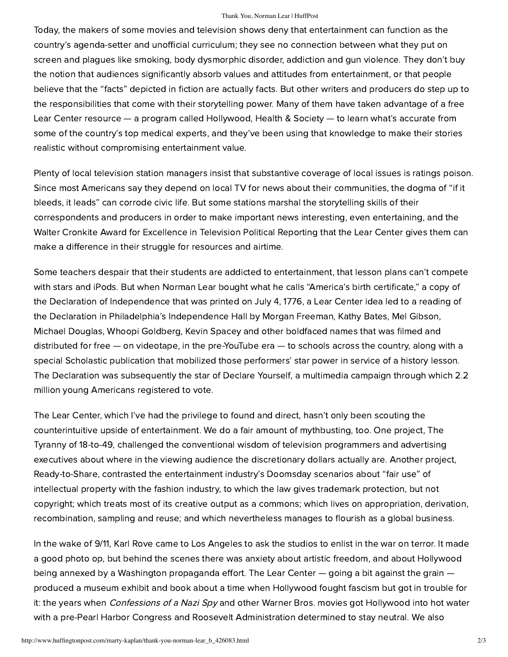#### Thank You, Norman Lear | HuffPost

Today, the makers of some movies and television shows deny that entertainment can function as the country's agenda-setter and unofficial curriculum; they see no connection between what they put on screen and plagues like smoking, body dysmorphic disorder, addiction and gun violence. They don't buy the notion that audiences significantly absorb values and attitudes from entertainment, or that people believe that the "facts" depicted in fiction are actually facts. But other writers and producers do step up to the responsibilities that come with their storytelling power. Many of them have taken advantage of a free Lear Center resource — a program called [Hollywood, Health & Society](http://www.learcenter.org/html/projects/?cm=hhs) — to learn what's accurate from some of the country's top medical experts, and they've been using that knowledge to make their stories realistic without compromising entertainment value.

Plenty of local television station managers insist that substantive coverage of local issues is ratings poison. [Since most Americans say they depend on local TV for news about their communities, the dogma of "if it](http://www.localnewsarchive.org/pdf/LCLNAFinal2004.pdf) bleeds, it leads" can corrode civic life. But some stations marshal the storytelling skills of their correspondents and producers in order to make important news interesting, even entertaining, and the [Walter Cronkite Award](http://www.learcenter.org/html/projects/?cm=rr) for Excellence in Television Political Reporting that the Lear Center gives them can make a difference in their struggle for resources and airtime.

Some teachers despair that their students are addicted to entertainment, that lesson plans can't compete with stars and iPods. But when Norman Lear bought what he calls "America's birth certificate," a copy of the Declaration of Independence that was printed on July 4, 1776, a Lear Center idea led to a reading of the Declaration in Philadelphia's Independence Hall by Morgan Freeman, Kathy Bates, Mel Gibson, Michael Douglas, Whoopi Goldberg, Kevin Spacey and other boldfaced names that was [filmed](http://www.learcenter.org/incEngine/incEngine_Player_minimum.php?content=norman_events_popup&e=15) and distributed for free — on videotape, in the pre-YouTube era — to schools across the country, along with a special Scholastic publication that mobilized those performers' star power in service of a history lesson. The Declaration was subsequently the star of [Declare Yourself](http://www.declareyourself.com/home/home.html), a multimedia campaign through which 2.2 million young Americans registered to vote.

The Lear Center, which I've had the privilege to found and direct, hasn't only been scouting the counterintuitive upside of entertainment. We do a fair amount of mythbusting, too. One project, The [Tyranny of 18-to-49, challenged the conventional wisdom of television programmers and advertising](http://www.learcenter.org/pdf/18to49.pdf) executives about where in the viewing audience the discretionary dollars actually are. Another project, [Ready-to-Share,](http://www.learcenter.org/html/projects/?cm=ccc/fashion) contrasted the entertainment industry's Doomsday scenarios about "fair use" of intellectual property with the fashion industry, to which the law gives trademark protection, but not copyright; which treats most of its creative output as a commons; which lives on appropriation, derivation, recombination, sampling and reuse; and which nevertheless manages to flourish as a global business.

In the wake of 9/11, Karl Rove came to Los Angeles to ask the studios to enlist in the war on terror. It made a good photo op, but behind the scenes there was anxiety about artistic freedom, and about Hollywood being annexed by a Washington propaganda effort. The Lear Center — going a bit against the grain produceda [museum exhibit and book](http://www.learcenter.org/html/projects/?cm=cpp/warner) about a time when Hollywood fought fascism but got in trouble for it: the years when *Confessions of a Nazi Spy* and other Warner Bros. movies got Hollywood into hot water with a pre-Pearl Harbor Congress and Roosevelt Administration determined to stay neutral. We also